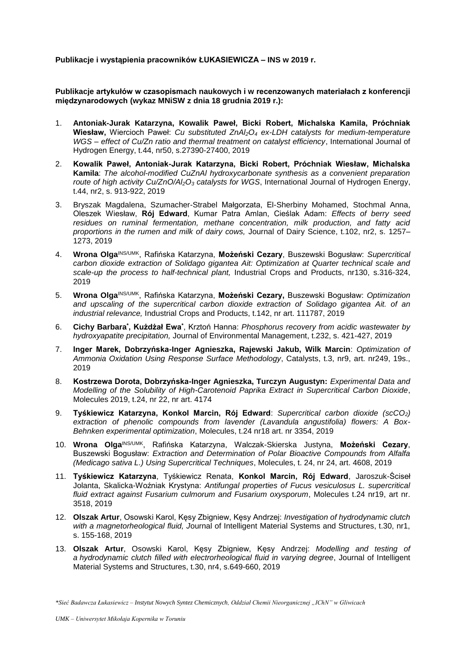**Publikacje i wystąpienia pracowników ŁUKASIEWICZA – INS w 2019 r.**

**Publikacje artykułów w czasopismach naukowych i w recenzowanych materiałach z konferencji międzynarodowych (wykaz MNiSW z dnia 18 grudnia 2019 r.):**

- 1. **Antoniak-Jurak Katarzyna, Kowalik Paweł, Bicki Robert, Michalska Kamila, Próchniak Wiesław,** Wiercioch Paweł: *Cu substituted ZnAl2O<sup>4</sup> ex-LDH catalysts for medium-temperature WGS – effect of Cu/Zn ratio and thermal treatment on catalyst efficiency*, International Journal of Hydrogen Energy, t.44, nr50, s.27390-27400, 2019
- 2. **Kowalik Paweł, Antoniak-Jurak Katarzyna, Bicki Robert, Próchniak Wiesław, Michalska Kamila**: *The alcohol-modified CuZnAl hydroxycarbonate synthesis as a convenient preparation route of high activity Cu/ZnO/Al2O<sup>3</sup> catalysts for WGS*, International Journal of Hydrogen Energy, t.44, nr2, s. 913-922, 2019
- 3. [Bryszak](https://www.sciencedirect.com/science/article/pii/S0022030218311019#!) Magdalena, Szumacher-Strabel Małgorzata, El-Sherbiny Mohamed, Stochmal Anna, Oleszek Wiesław, **Rój Edward**, Kumar Patra Amlan, Cieślak Adam: *Effects of berry seed residues on ruminal fermentation, methane concentration, milk production, and fatty acid proportions in the rumen and milk of dairy cows,* Journal of Dairy Science, t.102, nr2, s. 1257– 1273, 2019
- 4. **Wrona Olga**INS/UMK, Rafińska Katarzyna, **Możeński Cezary**, Buszewski Bogusław: *Supercritical carbon dioxide extraction of Solidago gigantea Ait: Optimization at Quarter technical scale and scale-up the process to half-technical plant,* Industrial Crops and Products, nr130, s.316-324, 2019
- 5. **Wrona Olga**INS/UMK, Rafińska Katarzyna, **Możeński Cezary,** Buszewski Bogusław: *Optimization and upscaling of the supercritical carbon dioxide extraction of Solidago gigantea Ait. of an industrial relevance,* Industrial Crops and Products, t.142, nr art. 111787, 2019
- 6. **Cichy Barbara<sup>\*</sup>, Kużdżał Ewa**\*, Krztoń Hanna: *Phosphorus recovery from acidic wastewater by hydroxyapatite precipitation,* Journal of Environmental Management, t.232, s. 421-427, 2019
- 7. **Inger Marek, Dobrzyńska-Inger Agnieszka, Rajewski Jakub, Wilk Marcin**: *Optimization of Ammonia Oxidation Using Response Surface Methodology*, Catalysts, t.3, nr9, art. nr249, 19s., 2019
- 8. **Kostrzewa Dorota, Dobrzyńska-Inger Agnieszka, Turczyn Augustyn:** *Experimental Data and Modelling of the Solubility of High-Carotenoid Paprika Extract in Supercritical Carbon Dioxide*, Molecules 2019, t.24, nr 22, nr art. 4174
- 9. **Tyśkiewicz Katarzyna, Konkol Marcin, Rój Edward**: *Supercritical carbon dioxide (scCO2) extraction of phenolic compounds from lavender (Lavandula angustifolia) flowers: A Box-Behnken experimental optimization*, Molecules, t.24 nr18 art. nr 3354, 2019
- 10. **Wrona Olga**INS/UMK, Rafińska Katarzyna, Walczak-Skierska Justyna, **Możeński Cezary**, Buszewski Bogusław: *Extraction and Determination of Polar Bioactive Compounds from Alfalfa (Medicago sativa L.) Using Supercritical Techniques*, Molecules, t. 24, nr 24, art. 4608, 2019
- 11. **Tyśkiewicz Katarzyna**, Tyśkiewicz Renata, **Konkol Marcin, Rój Edward**, Jaroszuk-Ściseł Jolanta, Skalicka-Woźniak Krystyna: *Antifungal properties of Fucus vesiculosus L. supercritical fluid extract against Fusarium culmorum and Fusarium oxysporum*, Molecules t.24 nr19, art nr. 3518, 2019
- 12. **Olszak Artur**, Osowski Karol, Kęsy Zbigniew, Kęsy Andrzej: *Investigation of hydrodynamic clutch with a magnetorheological fluid, J*ournal of Intelligent Material Systems and Structures, t.30, nr1, s. 155-168, 2019
- 13. **Olszak Artur**, Osowski Karol, Kęsy Zbigniew, Kęsy Andrzej: *Modelling and testing of a hydrodynamic clutch filled with electrorheological fluid in varying degree*, Journal of Intelligent Material Systems and Structures, t.30, nr4, s.649-660, 2019

*<sup>\*</sup>Sieć Badawcza Łukasiewicz – Instytut Nowych Syntez Chemicznych, Oddział Chemii Nieorganicznej "IChN" w Gliwicach*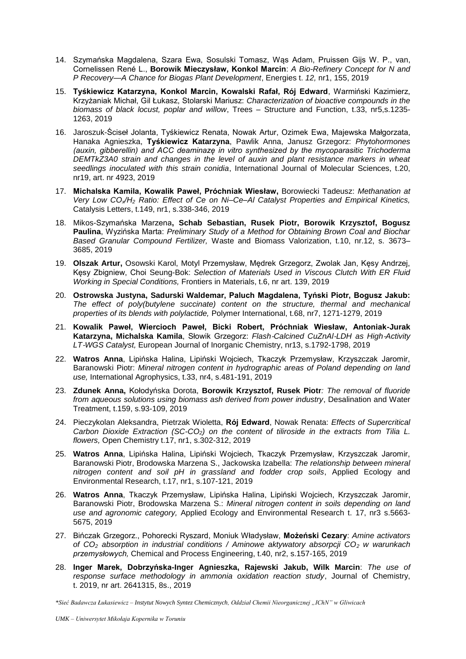- 14. Szymańska Magdalena, Szara Ewa, Sosulski Tomasz, Wąs Adam, Pruissen Gijs W. P., van, Cornelissen René L., **Borowik Mieczysław, Konkol Marcin**: *A Bio-Refinery Concept for N and P Recovery—A Chance for Biogas Plant Development*, Energies t. *12,* nr1, 155, 2019
- 15. **Tyśkiewicz Katarzyna, Konkol Marcin, Kowalski Rafał, Rój Edward**, Warmiński Kazimierz, Krzyżaniak Michał, Gil Łukasz, Stolarski Mariusz: *Characterization of bioactive compounds in the biomass of black locust, poplar and willow*, Trees – Structure and Function, t.33, nr5,s.1235- 1263, 2019
- 16. Jaroszuk-Ściseł Jolanta, Tyśkiewicz Renata, Nowak Artur, Ozimek Ewa, Majewska Małgorzata, Hanaka Agnieszka, **Tyśkiewicz Katarzyna**, Pawlik Anna, Janusz Grzegorz: *Phytohormones (auxin, gibberellin) and ACC deaminazę in vitro synthesized by the mycoparasitic Trichoderma DEMTkZ3A0 strain and changes in the level of auxin and plant resistance markers in wheat seedlings inoculated with this strain conidia*, International Journal of Molecular Sciences, t.20, nr19, art. nr 4923, 2019
- 17. **Michalska Kamila, Kowalik Paweł, Próchniak Wiesław,** Borowiecki Tadeusz: *Methanation at Very Low COx/H<sup>2</sup> Ratio: Effect of Ce on Ni–Ce–Al Catalyst Properties and Empirical Kinetics,*  Catalysis Letters, t.149, nr1, s.338-346, 2019
- 18. Mikos-Szymańska Marzena**, Schab Sebastian, Rusek Piotr, Borowik Krzysztof, Bogusz Paulina**, Wyzińska Marta: *Preliminary Study of a Method for Obtaining Brown Coal and Biochar Based Granular Compound Fertilizer,* Waste and Biomass Valorization, t.10, nr.12, s. 3673– 3685, 2019
- 19. **Olszak Artur,** Osowski Karol, Motyl Przemysław, Mędrek Grzegorz, Zwolak Jan, Kęsy Andrzej, Kęsy Zbigniew, Choi Seung-Bok: *Selection of Materials Used in Viscous Clutch With ER Fluid Working in Special Conditions,* Frontiers in Materials, t.6, nr art. 139, 2019
- 20. **Ostrowska Justyna, Sadurski Waldemar, Paluch Magdalena, Tyński Piotr, Bogusz Jakub:**  *The effect of poly(butylene succinate) content on the structure, thermal and mechanical properties of its blends with polylactide,* Polymer International, t.68, nr7, 1271-1279, 2019
- 21. **[Kowalik](https://onlinelibrary.wiley.com/action/doSearch?ContribAuthorStored=Kowalik%2C+Pawe%C5%82) Paweł, Wiercioch Paweł, Bicki Robert, Próchniak Wiesław, Antoniak-Jurak Katarzyna, Michalska Kamila**, Słowik Grzegorz: *Flash*‐*Calcined CuZnAl*‐*LDH as High*‐*Activity LT*‐*WGS Catalyst,* [European Journal of Inorganic Chemistry,](https://onlinelibrary.wiley.com/journal/10990682c) nr13, s.1792-1798, 2019
- 22. **Watros Anna**, Lipińska Halina, Lipiński Wojciech, Tkaczyk Przemysław, Krzyszczak Jaromir, Baranowski Piotr: *Mineral nitrogen content in hydrographic areas of Poland depending on land use,* International Agrophysics, t.33, nr4, s.481-191, 2019
- 23. **Zdunek Anna,** Kołodyńska Dorota, **Borowik Krzysztof, Rusek Piotr***: The removal of fluoride from aqueous solutions using biomass ash derived from power industry*, Desalination and Water Treatment, t.159, s.93-109, 2019
- 24. Pieczykolan Aleksandra, Pietrzak Wioletta, **Rój Edward**, Nowak Renata: *Effects of Supercritical Carbon Dioxide Extraction (SC-CO2) on the content of tiliroside in the extracts from Tilia L. flowers,* Open Chemistry t.17, nr1, s.302-312, 2019
- 25. **Watros Anna**, Lipińska Halina, Lipiński Wojciech, Tkaczyk Przemysław, Krzyszczak Jaromir, Baranowski Piotr, Brodowska Marzena S., Jackowska Izabella: *The relationship between mineral nitrogen content and soil pH in grassland and fodder crop soils*, Applied Ecology and Environmental Research, t.17, nr1, s.107-121, 2019
- 26. **Watros Anna**, Tkaczyk Przemysław, Lipińska Halina, Lipiński Wojciech, Krzyszczak Jaromir, Baranowski Piotr, Brodowska Marzena S.: *Mineral nitrogen content in soils depending on land use and agronomic category,* Applied Ecology and Environmental Research t. 17, nr3 s.5663- 5675, 2019
- 27. Bińczak Grzegorz., Pohorecki Ryszard, Moniuk Władysław, **Możeński Cezary**: *Amine activators of CO<sup>2</sup> absorption in industrial conditions / Aminowe aktywatory absorpcji CO<sup>2</sup> w warunkach przemysłowych,* Chemical and Process Engineering, t.40, nr2, s.157-165, 2019
- 28. **Inger Marek, Dobrzyńska-Inger Agnieszka, Rajewski Jakub, Wilk Marcin**: *The use of response surface methodology in ammonia oxidation reaction study*, Journal of Chemistry, t. 2019, nr art. 2641315, 8s., 2019

*\*Sieć Badawcza Łukasiewicz – Instytut Nowych Syntez Chemicznych, Oddział Chemii Nieorganicznej "IChN" w Gliwicach*